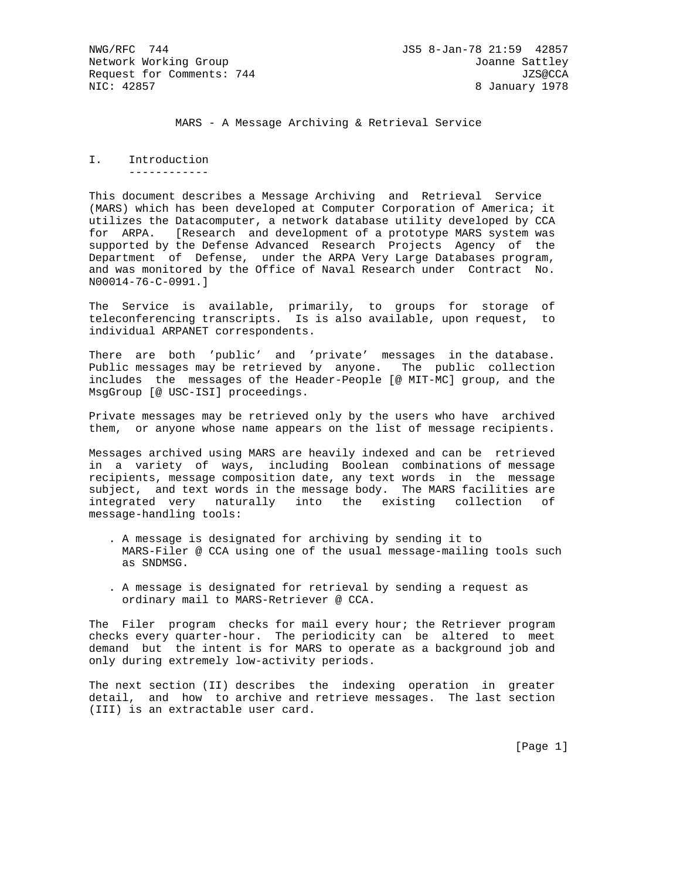MARS - A Message Archiving & Retrieval Service

I. Introduction ------------

This document describes a Message Archiving and Retrieval Service (MARS) which has been developed at Computer Corporation of America; it utilizes the Datacomputer, a network database utility developed by CCA for ARPA. [Research and development of a prototype MARS system was supported by the Defense Advanced Research Projects Agency of the Department of Defense, under the ARPA Very Large Databases program, and was monitored by the Office of Naval Research under Contract No. N00014-76-C-0991.]

The Service is available, primarily, to groups for storage of teleconferencing transcripts. Is is also available, upon request, to individual ARPANET correspondents.

There are both 'public' and 'private' messages in the database. Public messages may be retrieved by anyone. The public collection includes the messages of the Header-People [@ MIT-MC] group, and the MsgGroup [@ USC-ISI] proceedings.

Private messages may be retrieved only by the users who have archived them, or anyone whose name appears on the list of message recipients.

Messages archived using MARS are heavily indexed and can be retrieved in a variety of ways, including Boolean combinations of message recipients, message composition date, any text words in the message subject, and text words in the message body. The MARS facilities are integrated very naturally into the existing collection of message-handling tools:

- . A message is designated for archiving by sending it to MARS-Filer @ CCA using one of the usual message-mailing tools such as SNDMSG.
- . A message is designated for retrieval by sending a request as ordinary mail to MARS-Retriever @ CCA.

The Filer program checks for mail every hour; the Retriever program checks every quarter-hour. The periodicity can be altered to meet demand but the intent is for MARS to operate as a background job and only during extremely low-activity periods.

The next section (II) describes the indexing operation in greater detail, and how to archive and retrieve messages. The last section (III) is an extractable user card.

[Page 1]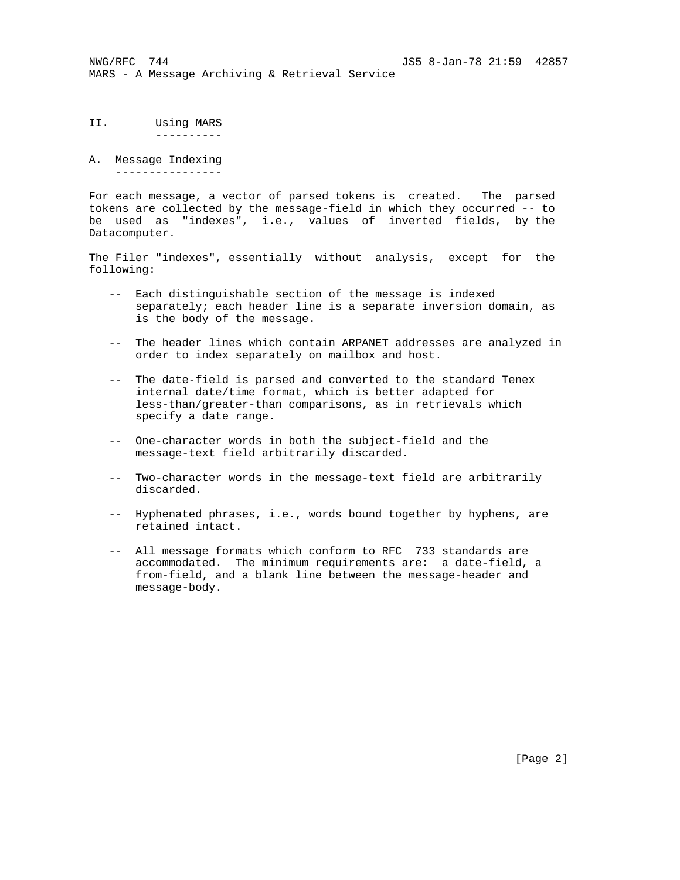- II. Using MARS ----------
- A. Message Indexing ----------------

For each message, a vector of parsed tokens is created. The parsed tokens are collected by the message-field in which they occurred -- to be used as "indexes", i.e., values of inverted fields, by the Datacomputer.

The Filer "indexes", essentially without analysis, except for the following:

- -- Each distinguishable section of the message is indexed separately; each header line is a separate inversion domain, as is the body of the message.
- -- The header lines which contain ARPANET addresses are analyzed in order to index separately on mailbox and host.
- -- The date-field is parsed and converted to the standard Tenex internal date/time format, which is better adapted for less-than/greater-than comparisons, as in retrievals which specify a date range.
- -- One-character words in both the subject-field and the message-text field arbitrarily discarded.
- -- Two-character words in the message-text field are arbitrarily discarded.
- -- Hyphenated phrases, i.e., words bound together by hyphens, are retained intact.
- -- All message formats which conform to RFC 733 standards are accommodated. The minimum requirements are: a date-field, a from-field, and a blank line between the message-header and message-body.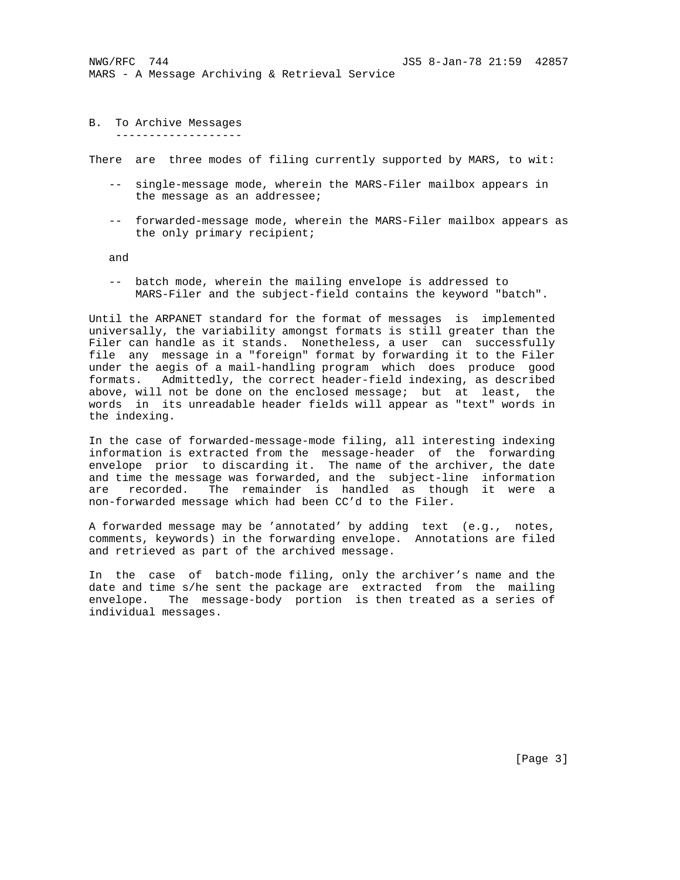NWG/RFC 744 JS5 8-Jan-78 21:59 42857 MARS - A Message Archiving & Retrieval Service

B. To Archive Messages -------------------

There are three modes of filing currently supported by MARS, to wit:

- -- single-message mode, wherein the MARS-Filer mailbox appears in the message as an addressee;
- -- forwarded-message mode, wherein the MARS-Filer mailbox appears as the only primary recipient;

and

 -- batch mode, wherein the mailing envelope is addressed to MARS-Filer and the subject-field contains the keyword "batch".

Until the ARPANET standard for the format of messages is implemented universally, the variability amongst formats is still greater than the Filer can handle as it stands. Nonetheless, a user can successfully file any message in a "foreign" format by forwarding it to the Filer under the aegis of a mail-handling program which does produce good formats. Admittedly, the correct header-field indexing, as described above, will not be done on the enclosed message; but at least, the words in its unreadable header fields will appear as "text" words in the indexing.

In the case of forwarded-message-mode filing, all interesting indexing information is extracted from the message-header of the forwarding envelope prior to discarding it. The name of the archiver, the date and time the message was forwarded, and the subject-line information are recorded. The remainder is handled as though it were a non-forwarded message which had been CC'd to the Filer.

A forwarded message may be 'annotated' by adding text (e.g., notes, comments, keywords) in the forwarding envelope. Annotations are filed and retrieved as part of the archived message.

In the case of batch-mode filing, only the archiver's name and the date and time s/he sent the package are extracted from the mailing envelope. The message-body portion is then treated as a series of individual messages.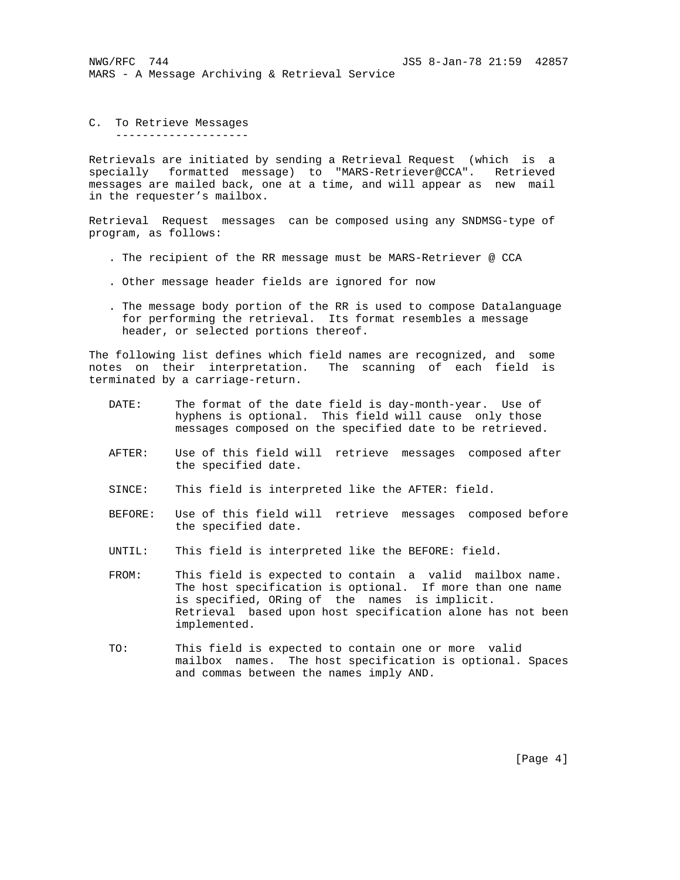NWG/RFC 744 JS5 8-Jan-78 21:59 42857 MARS - A Message Archiving & Retrieval Service

C. To Retrieve Messages --------------------

Retrievals are initiated by sending a Retrieval Request (which is a specially formatted message) to "MARS-Retriever@CCA". Retrieved messages are mailed back, one at a time, and will appear as new mail in the requester's mailbox.

Retrieval Request messages can be composed using any SNDMSG-type of program, as follows:

- . The recipient of the RR message must be MARS-Retriever @ CCA
- . Other message header fields are ignored for now
- . The message body portion of the RR is used to compose Datalanguage for performing the retrieval. Its format resembles a message header, or selected portions thereof.

The following list defines which field names are recognized, and some notes on their interpretation. The scanning of each field is terminated by a carriage-return.

- DATE: The format of the date field is day-month-year. Use of hyphens is optional. This field will cause only those messages composed on the specified date to be retrieved.
- AFTER: Use of this field will retrieve messages composed after the specified date.
- SINCE: This field is interpreted like the AFTER: field.
- BEFORE: Use of this field will retrieve messages composed before the specified date.
- UNTIL: This field is interpreted like the BEFORE: field.
- FROM: This field is expected to contain a valid mailbox name. The host specification is optional. If more than one name is specified, ORing of the names is implicit. Retrieval based upon host specification alone has not been implemented.
- TO: This field is expected to contain one or more valid mailbox names. The host specification is optional. Spaces and commas between the names imply AND.

[Page 4]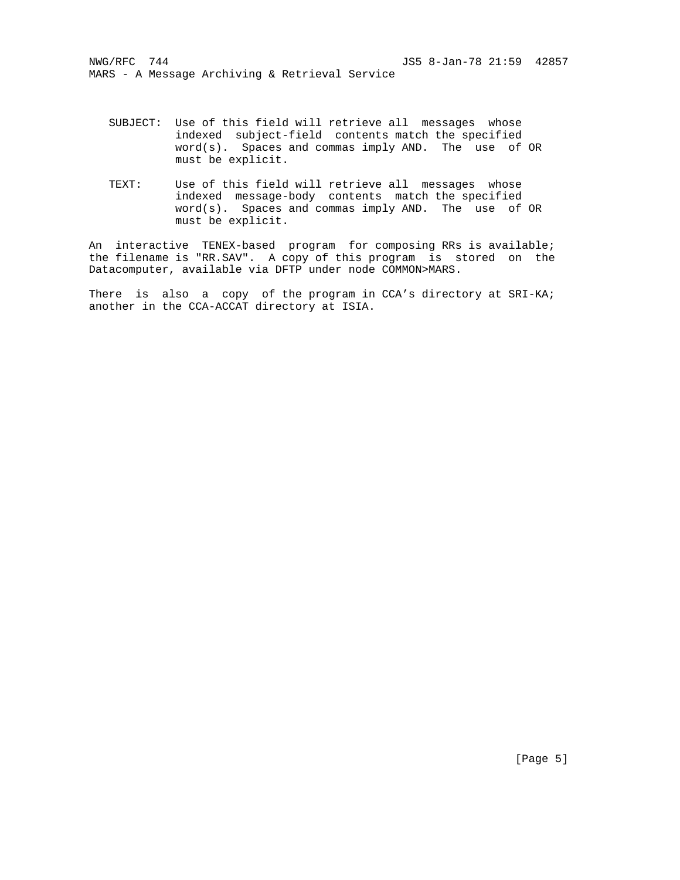- SUBJECT: Use of this field will retrieve all messages whose indexed subject-field contents match the specified word(s). Spaces and commas imply AND. The use of OR must be explicit.
- TEXT: Use of this field will retrieve all messages whose indexed message-body contents match the specified word(s). Spaces and commas imply AND. The use of OR must be explicit.

An interactive TENEX-based program for composing RRs is available; the filename is "RR.SAV". A copy of this program is stored on the Datacomputer, available via DFTP under node COMMON>MARS.

There is also a copy of the program in CCA's directory at SRI-KA; another in the CCA-ACCAT directory at ISIA.